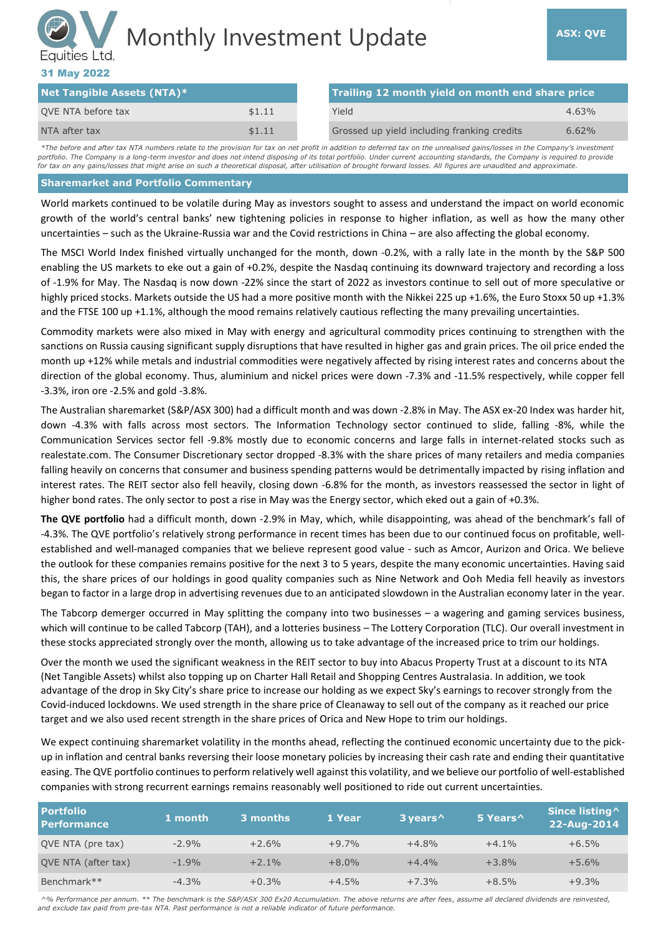# Monthly Investment Update **ASX: QVE** Equities Ltd.

### 31 May 2022

| Net Tangible Assets (NTA)* |        | Trailing 12 month yield on month end share price |          |  |
|----------------------------|--------|--------------------------------------------------|----------|--|
| QVE NTA before tax         | \$1.11 | Yield                                            | $4.63\%$ |  |
| NTA after tax              | \$1.11 | Grossed up yield including franking credits      | $6.62\%$ |  |

*\*The before and after tax NTA numbers relate to the provision for tax on net profit in addition to deferred tax on the unrealised gains/losses in the Company's investment*  portfolio. The Company is a long-term investor and does not intend disposing of its total portfolio. Under current accounting standards, the Company is required to provide *for tax on any gains/losses that might arise on such a theoretical disposal, after utilisation of brought forward losses. All figures are unaudited and approximate.*

#### **Sharemarket and Portfolio Commentary**

World markets continued to be volatile during May as investors sought to assess and understand the impact on world economic growth of the world's central banks' new tightening policies in response to higher inflation, as well as how the many other uncertainties – such as the Ukraine-Russia war and the Covid restrictions in China – are also affecting the global economy.

The MSCI World Index finished virtually unchanged for the month, down -0.2%, with a rally late in the month by the S&P 500 enabling the US markets to eke out a gain of +0.2%, despite the Nasdaq continuing its downward trajectory and recording a loss of -1.9% for May. The Nasdaq is now down -22% since the start of 2022 as investors continue to sell out of more speculative or highly priced stocks. Markets outside the US had a more positive month with the Nikkei 225 up +1.6%, the Euro Stoxx 50 up +1.3% and the FTSE 100 up +1.1%, although the mood remains relatively cautious reflecting the many prevailing uncertainties.

Commodity markets were also mixed in May with energy and agricultural commodity prices continuing to strengthen with the sanctions on Russia causing significant supply disruptions that have resulted in higher gas and grain prices. The oil price ended the month up +12% while metals and industrial commodities were negatively affected by rising interest rates and concerns about the direction of the global economy. Thus, aluminium and nickel prices were down -7.3% and -11.5% respectively, while copper fell -3.3%, iron ore -2.5% and gold -3.8%.

The Australian sharemarket (S&P/ASX 300) had a difficult month and was down -2.8% in May. The ASX ex-20 Index was harder hit, down -4.3% with falls across most sectors. The Information Technology sector continued to slide, falling -8%, while the Communication Services sector fell -9.8% mostly due to economic concerns and large falls in internet-related stocks such as realestate.com. The Consumer Discretionary sector dropped -8.3% with the share prices of many retailers and media companies falling heavily on concerns that consumer and business spending patterns would be detrimentally impacted by rising inflation and interest rates. The REIT sector also fell heavily, closing down -6.8% for the month, as investors reassessed the sector in light of higher bond rates. The only sector to post a rise in May was the Energy sector, which eked out a gain of +0.3%.

**The QVE portfolio** had a difficult month, down -2.9% in May, which, while disappointing, was ahead of the benchmark's fall of -4.3%. The QVE portfolio's relatively strong performance in recent times has been due to our continued focus on profitable, wellestablished and well-managed companies that we believe represent good value - such as Amcor, Aurizon and Orica. We believe the outlook for these companies remains positive for the next 3 to 5 years, despite the many economic uncertainties. Having said this, the share prices of our holdings in good quality companies such as Nine Network and Ooh Media fell heavily as investors began to factor in a large drop in advertising revenues due to an anticipated slowdown in the Australian economy later in the year.

The Tabcorp demerger occurred in May splitting the company into two businesses – a wagering and gaming services business, which will continue to be called Tabcorp (TAH), and a lotteries business – The Lottery Corporation (TLC). Our overall investment in these stocks appreciated strongly over the month, allowing us to take advantage of the increased price to trim our holdings.

Over the month we used the significant weakness in the REIT sector to buy into Abacus Property Trust at a discount to its NTA (Net Tangible Assets) whilst also topping up on Charter Hall Retail and Shopping Centres Australasia. In addition, we took advantage of the drop in Sky City's share price to increase our holding as we expect Sky's earnings to recover strongly from the Covid-induced lockdowns. We used strength in the share price of Cleanaway to sell out of the company as it reached our price target and we also used recent strength in the share prices of Orica and New Hope to trim our holdings.

We expect continuing sharemarket volatility in the months ahead, reflecting the continued economic uncertainty due to the pickup in inflation and central banks reversing their loose monetary policies by increasing their cash rate and ending their quantitative easing. The QVE portfolio continues to perform relatively well against this volatility, and we believe our portfolio of well-established companies with strong recurrent earnings remains reasonably well positioned to ride out current uncertainties.

| <b>Portfolio</b><br><b>Performance</b> | 1 month | $\overline{\mathsf{.3}}$ months $\overline{\mathsf{.3}}$ | 1 Year  | 3 years ^ | 5 Years^ | Since listing ^<br>22-Aug-2014 |
|----------------------------------------|---------|----------------------------------------------------------|---------|-----------|----------|--------------------------------|
| QVE NTA (pre tax)                      | $-2.9%$ | $+2.6%$                                                  | $+9.7%$ | $+4.8%$   | $+4.1%$  | $+6.5%$                        |
| QVE NTA (after tax)                    | $-1.9%$ | $+2.1%$                                                  | $+8.0%$ | $+4.4%$   | $+3.8%$  | $+5.6%$                        |
| Benchmark**                            | $-4.3%$ | $+0.3%$                                                  | $+4.5%$ | $+7.3%$   | $+8.5%$  | $+9.3%$                        |

*^% Performance per annum. \*\* The benchmark is the S&P/ASX 300 Ex20 Accumulation. The above returns are after fees, assume all declared dividends are reinvested, and exclude tax paid from pre-tax NTA. Past performance is not a reliable indicator of future performance.*